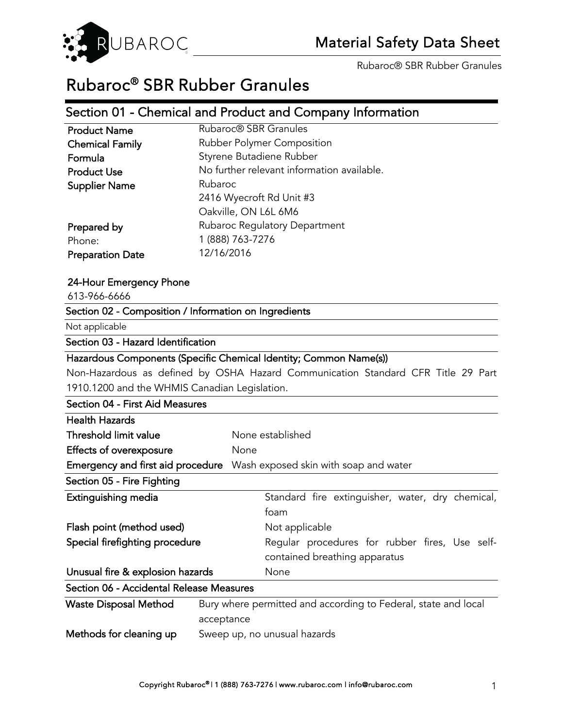

Rubaroc® SBR Rubber Granules

# Rubaroc® SBR Rubber Granules

# Section 01 - Chemical and Product and Company Information

| <b>Product Name</b>     | Rubaroc <sup>®</sup> SBR Granules          |
|-------------------------|--------------------------------------------|
| <b>Chemical Family</b>  | Rubber Polymer Composition                 |
| Formula                 | Styrene Butadiene Rubber                   |
| <b>Product Use</b>      | No further relevant information available. |
| <b>Supplier Name</b>    | Rubaroc                                    |
|                         | 2416 Wyecroft Rd Unit #3                   |
|                         | Oakville, ON L6L 6M6                       |
| Prepared by             | Rubaroc Regulatory Department              |
| Phone:                  | 1 (888) 763-7276                           |
| <b>Preparation Date</b> | 12/16/2016                                 |
|                         |                                            |

#### 24-Hour Emergency Phone

613-966-6666

## Section 02 - Composition / Information on Ingredients

Not applicable

#### Section 03 - Hazard Identification

#### Hazardous Components (Specific Chemical Identity; Common Name(s))

Non-Hazardous as defined by OSHA Hazard Communication Standard CFR Title 29 Part 1910.1200 and the WHMIS Canadian Legislation.

| Section 04 - First Aid Measures          |                                                                                 |
|------------------------------------------|---------------------------------------------------------------------------------|
| <b>Health Hazards</b>                    |                                                                                 |
| Threshold limit value                    | None established                                                                |
| Effects of overexposure                  | None                                                                            |
| Emergency and first aid procedure        | Wash exposed skin with soap and water                                           |
| Section 05 - Fire Fighting               |                                                                                 |
| Extinguishing media                      | Standard fire extinguisher, water, dry chemical,<br>foam                        |
| Flash point (method used)                | Not applicable                                                                  |
| Special firefighting procedure           | Regular procedures for rubber fires, Use self-<br>contained breathing apparatus |
| Unusual fire & explosion hazards         | None                                                                            |
| Section 06 - Accidental Release Measures |                                                                                 |

| Waste Disposal Method   | Bury where permitted and according to Federal, state and local |
|-------------------------|----------------------------------------------------------------|
|                         | acceptance                                                     |
| Methods for cleaning up | Sweep up, no unusual hazards                                   |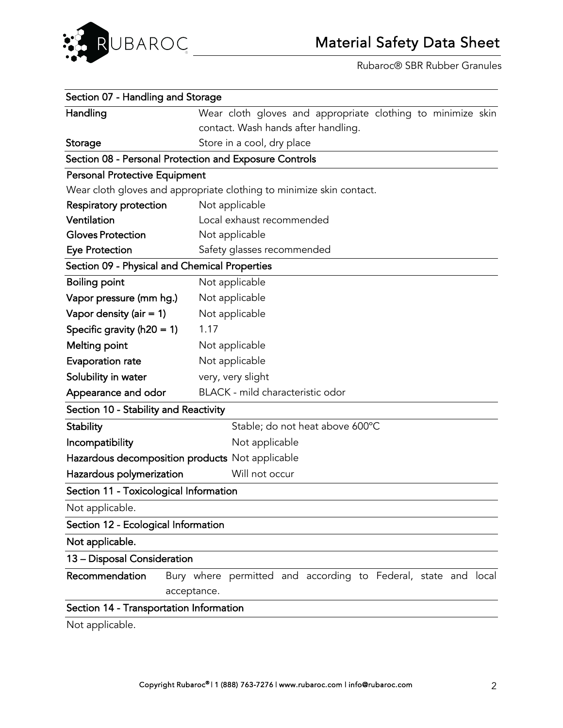

Rubaroc® SBR Rubber Granules

| Section 07 - Handling and Storage                                    |                                                                |  |
|----------------------------------------------------------------------|----------------------------------------------------------------|--|
| Handling                                                             | Wear cloth gloves and appropriate clothing to minimize skin    |  |
|                                                                      | contact. Wash hands after handling.                            |  |
| Storage                                                              | Store in a cool, dry place                                     |  |
|                                                                      | Section 08 - Personal Protection and Exposure Controls         |  |
| <b>Personal Protective Equipment</b>                                 |                                                                |  |
| Wear cloth gloves and appropriate clothing to minimize skin contact. |                                                                |  |
| Respiratory protection                                               | Not applicable                                                 |  |
| Ventilation                                                          | Local exhaust recommended                                      |  |
| <b>Gloves Protection</b>                                             | Not applicable                                                 |  |
| <b>Eye Protection</b>                                                | Safety glasses recommended                                     |  |
|                                                                      | Section 09 - Physical and Chemical Properties                  |  |
| <b>Boiling point</b>                                                 | Not applicable                                                 |  |
| Vapor pressure (mm hg.)                                              | Not applicable                                                 |  |
| Vapor density (air $= 1$ )                                           | Not applicable                                                 |  |
| Specific gravity ( $h20 = 1$ )                                       | 1.17                                                           |  |
| <b>Melting point</b>                                                 | Not applicable                                                 |  |
| Evaporation rate                                                     | Not applicable                                                 |  |
| Solubility in water                                                  | very, very slight                                              |  |
| Appearance and odor                                                  | BLACK - mild characteristic odor                               |  |
| Section 10 - Stability and Reactivity                                |                                                                |  |
| <b>Stability</b>                                                     | Stable; do not heat above 600°C                                |  |
| Incompatibility                                                      | Not applicable                                                 |  |
| Hazardous decomposition products Not applicable                      |                                                                |  |
| Hazardous polymerization                                             | Will not occur                                                 |  |
| Section 11 - Toxicological Information                               |                                                                |  |
| Not applicable.                                                      |                                                                |  |
| Section 12 - Ecological Information                                  |                                                                |  |
| Not applicable.                                                      |                                                                |  |
| 13 - Disposal Consideration                                          |                                                                |  |
| Recommendation                                                       | Bury where permitted and according to Federal, state and local |  |
|                                                                      | acceptance.                                                    |  |
| Section 14 - Transportation Information                              |                                                                |  |
|                                                                      |                                                                |  |

Not applicable.